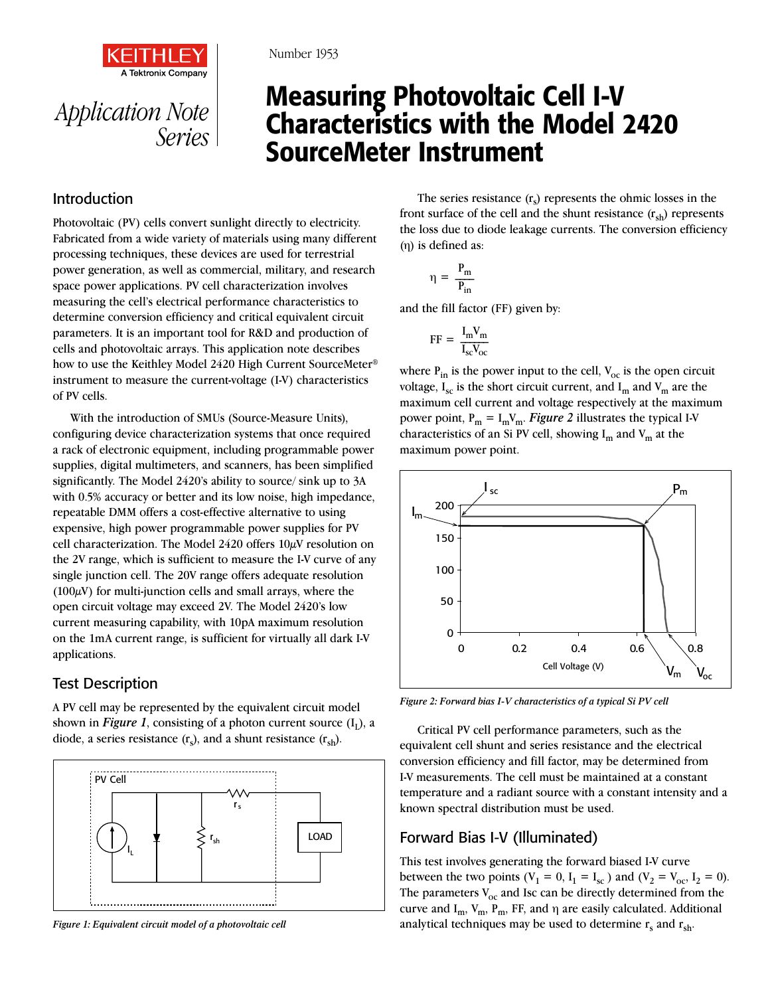

*Application Note Series*

#### Number 1953

# Measuring Photovoltaic Cell I-V Characteristics with the Model 2420 SourceMeter Instrument

## Introduction

Photovoltaic (PV) cells convert sunlight directly to electricity. Fabricated from a wide variety of materials using many different processing techniques, these devices are used for terrestrial power generation, as well as commercial, military, and research space power applications. PV cell characterization involves measuring the cell's electrical performance characteristics to determine conversion efficiency and critical equivalent circuit parameters. It is an important tool for R&D and production of cells and photovoltaic arrays. This application note describes how to use the Keithley Model 2420 High Current SourceMeter® instrument to measure the current-voltage (I-V) characteristics of PV cells.

With the introduction of SMUs (Source-Measure Units), configuring device characterization systems that once required a rack of electronic equipment, including programmable power supplies, digital multimeters, and scanners, has been simplified significantly. The Model 2420's ability to source/ sink up to 3A with 0.5% accuracy or better and its low noise, high impedance, repeatable DMM offers a cost-effective alternative to using expensive, high power programmable power supplies for PV cell characterization. The Model 2420 offers 10µV resolution on the 2V range, which is sufficient to measure the I-V curve of any single junction cell. The 20V range offers adequate resolution  $(100\mu\text{V})$  for multi-junction cells and small arrays, where the open circuit voltage may exceed 2V. The Model 2420's low current measuring capability, with 10pA maximum resolution on the 1mA current range, is sufficient for virtually all dark I-V applications.

## Test Description

A PV cell may be represented by the equivalent circuit model shown in *Figure 1*, consisting of a photon current source  $(I_1)$ , a diode, a series resistance  $(r_s)$ , and a shunt resistance  $(r_{sh})$ .



*Figure 1: Equivalent circuit model of a photovoltaic cell*

The series resistance  $(r<sub>s</sub>)$  represents the ohmic losses in the front surface of the cell and the shunt resistance  $(r_{sh})$  represents the loss due to diode leakage currents. The conversion efficiency (h) is defined as:

$$
\eta\,=\,\frac{P_m}{P_{in}}
$$

and the fill factor (FF) given by:

$$
FF = \frac{I_m V_m}{I_{sc} V_{oc}}
$$

where  $P_{in}$  is the power input to the cell,  $V_{oc}$  is the open circuit voltage,  $I_{sc}$  is the short circuit current, and  $I_{m}$  and  $V_{m}$  are the maximum cell current and voltage respectively at the maximum power point,  $P_m = I_m V_m$ . *Figure 2* illustrates the typical I-V characteristics of an Si PV cell, showing  $I_m$  and  $V_m$  at the maximum power point.



*Figure 2: Forward bias I-V characteristics of a typical Si PV cell*

Critical PV cell performance parameters, such as the equivalent cell shunt and series resistance and the electrical conversion efficiency and fill factor, may be determined from I-V measurements. The cell must be maintained at a constant temperature and a radiant source with a constant intensity and a known spectral distribution must be used.

## Forward Bias I-V (Illuminated)

This test involves generating the forward biased I-V curve between the two points ( $V_1 = 0$ ,  $I_1 = I_{sc}$ ) and ( $V_2 = V_{oc}$ ,  $I_2 = 0$ ). The parameters  $V_{\text{oc}}$  and Isc can be directly determined from the curve and  $I_m$ ,  $V_m$ ,  $P_m$ , FF, and  $\eta$  are easily calculated. Additional analytical techniques may be used to determine  $r_s$  and  $r_{sh}$ .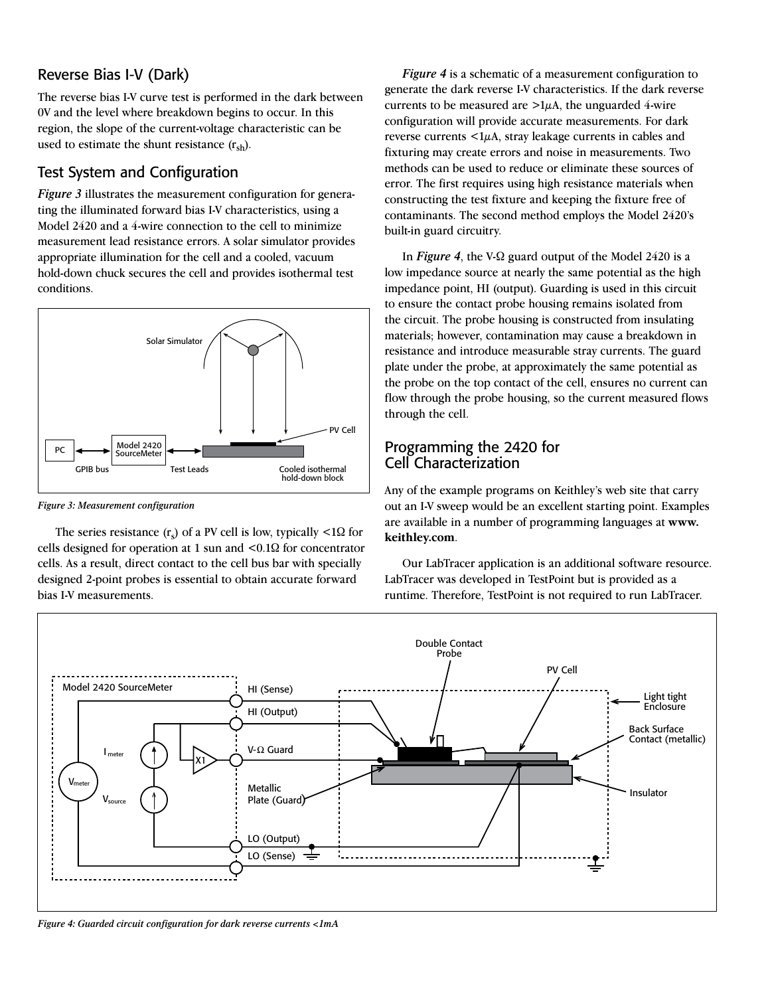## Reverse Bias I-V (Dark)

The reverse bias I-V curve test is performed in the dark between 0V and the level where breakdown begins to occur. In this region, the slope of the current-voltage characteristic can be used to estimate the shunt resistance  $(r_{sh})$ .

# Test System and Configuration

*Figure 3* illustrates the measurement configuration for generating the illuminated forward bias I-V characteristics, using a Model 2420 and a 4-wire connection to the cell to minimize measurement lead resistance errors. A solar simulator provides appropriate illumination for the cell and a cooled, vacuum hold-down chuck secures the cell and provides isothermal test conditions.



*Figure 3: Measurement configuration*

The series resistance  $(r_s)$  of a PV cell is low, typically <1 $\Omega$  for cells designed for operation at 1 sun and <0.1Ω for concentrator cells. As a result, direct contact to the cell bus bar with specially designed 2-point probes is essential to obtain accurate forward bias I-V measurements.

*Figure 4* is a schematic of a measurement configuration to generate the dark reverse I-V characteristics. If the dark reverse currents to be measured are  $>1\mu$ A, the unguarded 4-wire configuration will provide accurate measurements. For dark reverse currents  $\langle 1\mu A, \text{stray} \rangle$  leakage currents in cables and fixturing may create errors and noise in measurements. Two methods can be used to reduce or eliminate these sources of error. The first requires using high resistance materials when constructing the test fixture and keeping the fixture free of contaminants. The second method employs the Model 2420's built-in guard circuitry.

In *Figure 4*, the V-Ω guard output of the Model 2420 is a low impedance source at nearly the same potential as the high impedance point, HI (output). Guarding is used in this circuit to ensure the contact probe housing remains isolated from the circuit. The probe housing is constructed from insulating materials; however, contamination may cause a breakdown in resistance and introduce measurable stray currents. The guard plate under the probe, at approximately the same potential as the probe on the top contact of the cell, ensures no current can flow through the probe housing, so the current measured flows through the cell.

# Programming the 2420 for Cell Characterization

Any of the example programs on Keithley's web site that carry out an I-V sweep would be an excellent starting point. Examples are available in a number of programming languages at **www. keithley.com**.

Our LabTracer application is an additional software resource. LabTracer was developed in TestPoint but is provided as a runtime. Therefore, TestPoint is not required to run LabTracer.



*Figure 4: Guarded circuit configuration for dark reverse currents <1mA*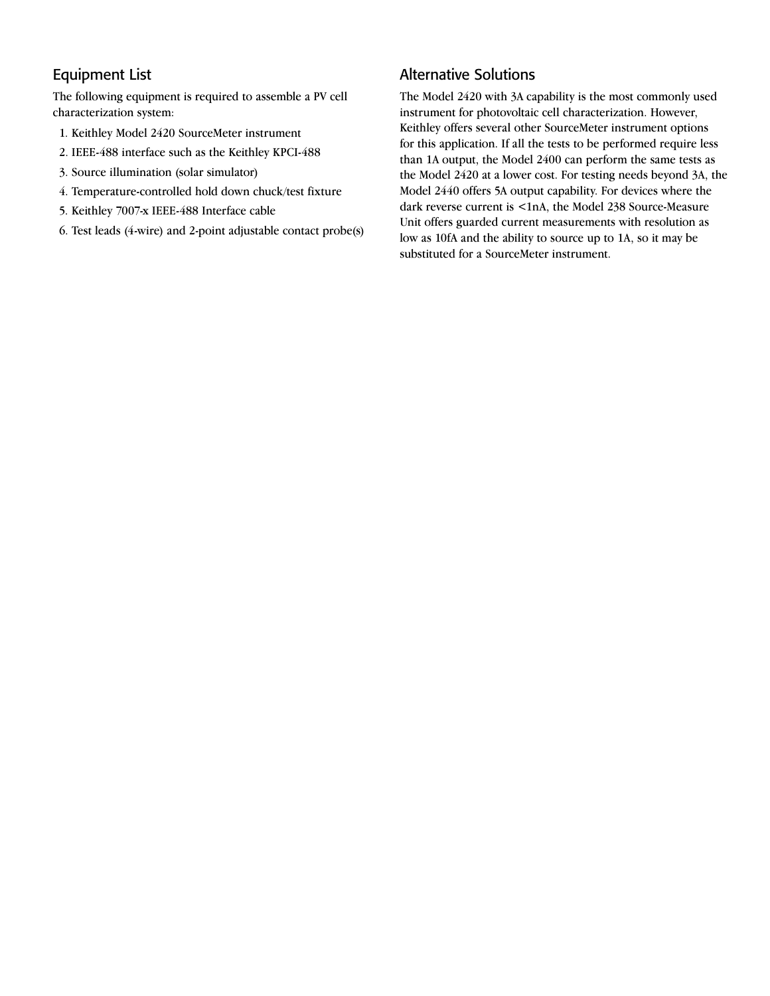# Equipment List

The following equipment is required to assemble a PV cell characterization system:

- 1. Keithley Model 2420 SourceMeter instrument
- 2. IEEE-488 interface such as the Keithley KPCI-488
- 3. Source illumination (solar simulator)
- 4. Temperature-controlled hold down chuck/test fixture
- 5. Keithley 7007-x IEEE-488 Interface cable
- 6. Test leads (4-wire) and 2-point adjustable contact probe(s)

# Alternative Solutions

The Model 2420 with 3A capability is the most commonly used instrument for photovoltaic cell characterization. However, Keithley offers several other SourceMeter instrument options for this application. If all the tests to be performed require less than 1A output, the Model 2400 can perform the same tests as the Model 2420 at a lower cost. For testing needs beyond 3A, the Model 2440 offers 5A output capability. For devices where the dark reverse current is <1nA, the Model 238 Source-Measure Unit offers guarded current measurements with resolution as low as 10fA and the ability to source up to 1A, so it may be substituted for a SourceMeter instrument.